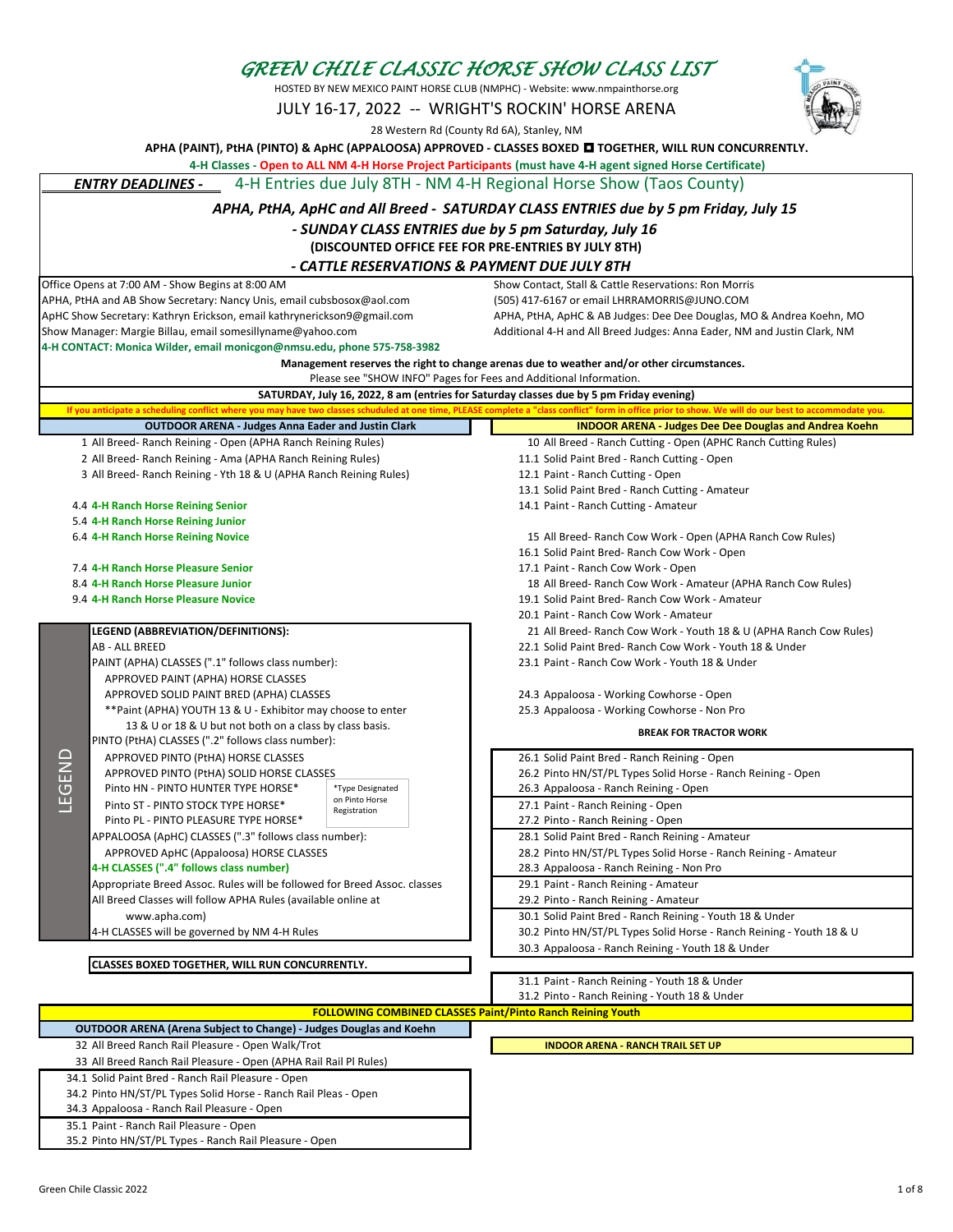## *GREEN CHILE CLASSIC HORSE SHOW CLASS LIST*

HOSTED BY NEW MEXICO PAINT HORSE CLUB (NMPHC) - Website: www.nmpainthorse.org

JULY 16-17, 2022 -- WRIGHT'S ROCKIN' HORSE ARENA

28 Western Rd (County Rd 6A), Stanley, NM

**APHA (PAINT), PtHA (PINTO) & ApHC (APPALOOSA) APPROVED - CLASSES BOXED TOGETHER, WILL RUN CONCURRENTLY.**

 **4-H Classes - Open to ALL NM 4-H Horse Project Participants (must have 4-H agent signed Horse Certificate)** 

 *ENTRY DEADLINES -* 4-H Entries due July 8TH - NM 4-H Regional Horse Show (Taos County)

| APHA, PtHA, ApHC and All Breed - SATURDAY CLASS ENTRIES due by 5 pm Friday, July 15 |  |
|-------------------------------------------------------------------------------------|--|
|-------------------------------------------------------------------------------------|--|

## *- SUNDAY CLASS ENTRIES due by 5 pm Saturday, July 16*

**(DISCOUNTED OFFICE FEE FOR PRE-ENTRIES BY JULY 8TH)**

## *- CATTLE RESERVATIONS & PAYMENT DUE JULY 8TH*

APHA, PtHA and AB Show Secretary: Nancy Unis, email cubsbosox@aol.com ApHC Show Secretary: Kathryn Erickson, email kathrynerickson9@gmail.com APHA, PtHA, ApHC & AB Judges: Dee Dee Douglas, MO & Andrea Koehn, MO

Office Opens at 7:00 AM - Show Begins at 8:00 AM Show Contact, Stall & Cattle Reservations: Ron Morris<br>APHA, PtHA and AB Show Secretary: Nancy Unis, email cubsbosox@aol.com (505) 417-6167 or email LHRRAMORRIS@JUNO.COM

| Show Manager: Margie Billau, email somesillyname@yahoo.com                                                                                                   | Additional 4-H and All Breed Judges: Anna Eader, NM and Justin Clark, NM                                                                                                                               |  |
|--------------------------------------------------------------------------------------------------------------------------------------------------------------|--------------------------------------------------------------------------------------------------------------------------------------------------------------------------------------------------------|--|
| 4-H CONTACT: Monica Wilder, email monicgon@nmsu.edu, phone 575-758-3982                                                                                      |                                                                                                                                                                                                        |  |
| Management reserves the right to change arenas due to weather and/or other circumstances.                                                                    |                                                                                                                                                                                                        |  |
| Please see "SHOW INFO" Pages for Fees and Additional Information.<br>SATURDAY, July 16, 2022, 8 am (entries for Saturday classes due by 5 pm Friday evening) |                                                                                                                                                                                                        |  |
|                                                                                                                                                              | If you anticipate a scheduling conflict where you may have two classes schuduled at one time, PLEASE complete a "class conflict" form in office prior to show. We will do our best to accommodate you. |  |
| <b>OUTDOOR ARENA - Judges Anna Eader and Justin Clark</b>                                                                                                    | <b>INDOOR ARENA - Judges Dee Dee Douglas and Andrea Koehn</b>                                                                                                                                          |  |
| 1 All Breed- Ranch Reining - Open (APHA Ranch Reining Rules)                                                                                                 | 10 All Breed - Ranch Cutting - Open (APHC Ranch Cutting Rules)                                                                                                                                         |  |
| 2 All Breed- Ranch Reining - Ama (APHA Ranch Reining Rules)                                                                                                  | 11.1 Solid Paint Bred - Ranch Cutting - Open                                                                                                                                                           |  |
| 3 All Breed- Ranch Reining - Yth 18 & U (APHA Ranch Reining Rules)                                                                                           | 12.1 Paint - Ranch Cutting - Open                                                                                                                                                                      |  |
|                                                                                                                                                              | 13.1 Solid Paint Bred - Ranch Cutting - Amateur                                                                                                                                                        |  |
| 4.4 4-H Ranch Horse Reining Senior                                                                                                                           | 14.1 Paint - Ranch Cutting - Amateur                                                                                                                                                                   |  |
| 5.4 4-H Ranch Horse Reining Junior                                                                                                                           |                                                                                                                                                                                                        |  |
| 6.4 4-H Ranch Horse Reining Novice                                                                                                                           | 15 All Breed- Ranch Cow Work - Open (APHA Ranch Cow Rules)                                                                                                                                             |  |
|                                                                                                                                                              | 16.1 Solid Paint Bred-Ranch Cow Work - Open                                                                                                                                                            |  |
| 7.4 4-H Ranch Horse Pleasure Senior                                                                                                                          | 17.1 Paint - Ranch Cow Work - Open                                                                                                                                                                     |  |
| 8.4 4-H Ranch Horse Pleasure Junior                                                                                                                          | 18 All Breed- Ranch Cow Work - Amateur (APHA Ranch Cow Rules)                                                                                                                                          |  |
| 9.4 4-H Ranch Horse Pleasure Novice                                                                                                                          | 19.1 Solid Paint Bred- Ranch Cow Work - Amateur                                                                                                                                                        |  |
|                                                                                                                                                              | 20.1 Paint - Ranch Cow Work - Amateur                                                                                                                                                                  |  |
| <b>LEGEND (ABBREVIATION/DEFINITIONS):</b>                                                                                                                    | 21 All Breed- Ranch Cow Work - Youth 18 & U (APHA Ranch Cow Rules)                                                                                                                                     |  |
| AB - ALL BREED                                                                                                                                               | 22.1 Solid Paint Bred- Ranch Cow Work - Youth 18 & Under                                                                                                                                               |  |
| PAINT (APHA) CLASSES (".1" follows class number):                                                                                                            | 23.1 Paint - Ranch Cow Work - Youth 18 & Under                                                                                                                                                         |  |
| APPROVED PAINT (APHA) HORSE CLASSES                                                                                                                          |                                                                                                                                                                                                        |  |
| APPROVED SOLID PAINT BRED (APHA) CLASSES                                                                                                                     | 24.3 Appaloosa - Working Cowhorse - Open                                                                                                                                                               |  |
| **Paint (APHA) YOUTH 13 & U - Exhibitor may choose to enter                                                                                                  | 25.3 Appaloosa - Working Cowhorse - Non Pro                                                                                                                                                            |  |
| 13 & U or 18 & U but not both on a class by class basis.                                                                                                     | <b>BREAK FOR TRACTOR WORK</b>                                                                                                                                                                          |  |
| PINTO (PtHA) CLASSES (".2" follows class number):                                                                                                            |                                                                                                                                                                                                        |  |
| LEGEND<br>APPROVED PINTO (PtHA) HORSE CLASSES                                                                                                                | 26.1 Solid Paint Bred - Ranch Reining - Open                                                                                                                                                           |  |
| APPROVED PINTO (PtHA) SOLID HORSE CLASSES                                                                                                                    | 26.2 Pinto HN/ST/PL Types Solid Horse - Ranch Reining - Open                                                                                                                                           |  |
| *Type Designated<br>Pinto HN - PINTO HUNTER TYPE HORSE*<br>on Pinto Horse                                                                                    | 26.3 Appaloosa - Ranch Reining - Open                                                                                                                                                                  |  |
| Pinto ST - PINTO STOCK TYPE HORSE*<br>Registration                                                                                                           | 27.1 Paint - Ranch Reining - Open                                                                                                                                                                      |  |
| Pinto PL - PINTO PLEASURE TYPE HORSE*                                                                                                                        | 27.2 Pinto - Ranch Reining - Open                                                                                                                                                                      |  |
| APPALOOSA (ApHC) CLASSES (".3" follows class number):                                                                                                        | 28.1 Solid Paint Bred - Ranch Reining - Amateur                                                                                                                                                        |  |
| APPROVED ApHC (Appaloosa) HORSE CLASSES                                                                                                                      | 28.2 Pinto HN/ST/PL Types Solid Horse - Ranch Reining - Amateur                                                                                                                                        |  |
| 4-H CLASSES (".4" follows class number)                                                                                                                      | 28.3 Appaloosa - Ranch Reining - Non Pro                                                                                                                                                               |  |
| Appropriate Breed Assoc. Rules will be followed for Breed Assoc. classes                                                                                     | 29.1 Paint - Ranch Reining - Amateur                                                                                                                                                                   |  |
| All Breed Classes will follow APHA Rules (available online at                                                                                                | 29.2 Pinto - Ranch Reining - Amateur                                                                                                                                                                   |  |
| www.apha.com)                                                                                                                                                | 30.1 Solid Paint Bred - Ranch Reining - Youth 18 & Under                                                                                                                                               |  |
| 4-H CLASSES will be governed by NM 4-H Rules                                                                                                                 | 30.2 Pinto HN/ST/PL Types Solid Horse - Ranch Reining - Youth 18 & U                                                                                                                                   |  |
|                                                                                                                                                              | 30.3 Appaloosa - Ranch Reining - Youth 18 & Under                                                                                                                                                      |  |
| CLASSES BOXED TOGETHER, WILL RUN CONCURRENTLY.                                                                                                               |                                                                                                                                                                                                        |  |
|                                                                                                                                                              | 31.1 Paint - Ranch Reining - Youth 18 & Under                                                                                                                                                          |  |
|                                                                                                                                                              | 31.2 Pinto - Ranch Reining - Youth 18 & Under                                                                                                                                                          |  |
|                                                                                                                                                              | <b>FOLLOWING COMBINED CLASSES Paint/Pinto Ranch Reining Youth</b>                                                                                                                                      |  |
| <b>OUTDOOR ARENA (Arena Subject to Change) - Judges Douglas and Koehn</b>                                                                                    |                                                                                                                                                                                                        |  |
| 32 All Breed Ranch Rail Pleasure - Open Walk/Trot                                                                                                            | <b>INDOOR ARENA - RANCH TRAIL SET UP</b>                                                                                                                                                               |  |
| 33 All Breed Ranch Rail Pleasure - Open (APHA Rail Rail Pl Rules)                                                                                            |                                                                                                                                                                                                        |  |
| 34.1 Solid Paint Bred - Ranch Rail Pleasure - Open<br>34.2 Pinto HN/ST/PL Types Solid Horse - Ranch Rail Pleas - Open                                        |                                                                                                                                                                                                        |  |
|                                                                                                                                                              |                                                                                                                                                                                                        |  |

34.3 Appaloosa - Ranch Rail Pleasure - Open 35.1 Paint - Ranch Rail Pleasure - Open

35.2 Pinto HN/ST/PL Types - Ranch Rail Pleasure - Open

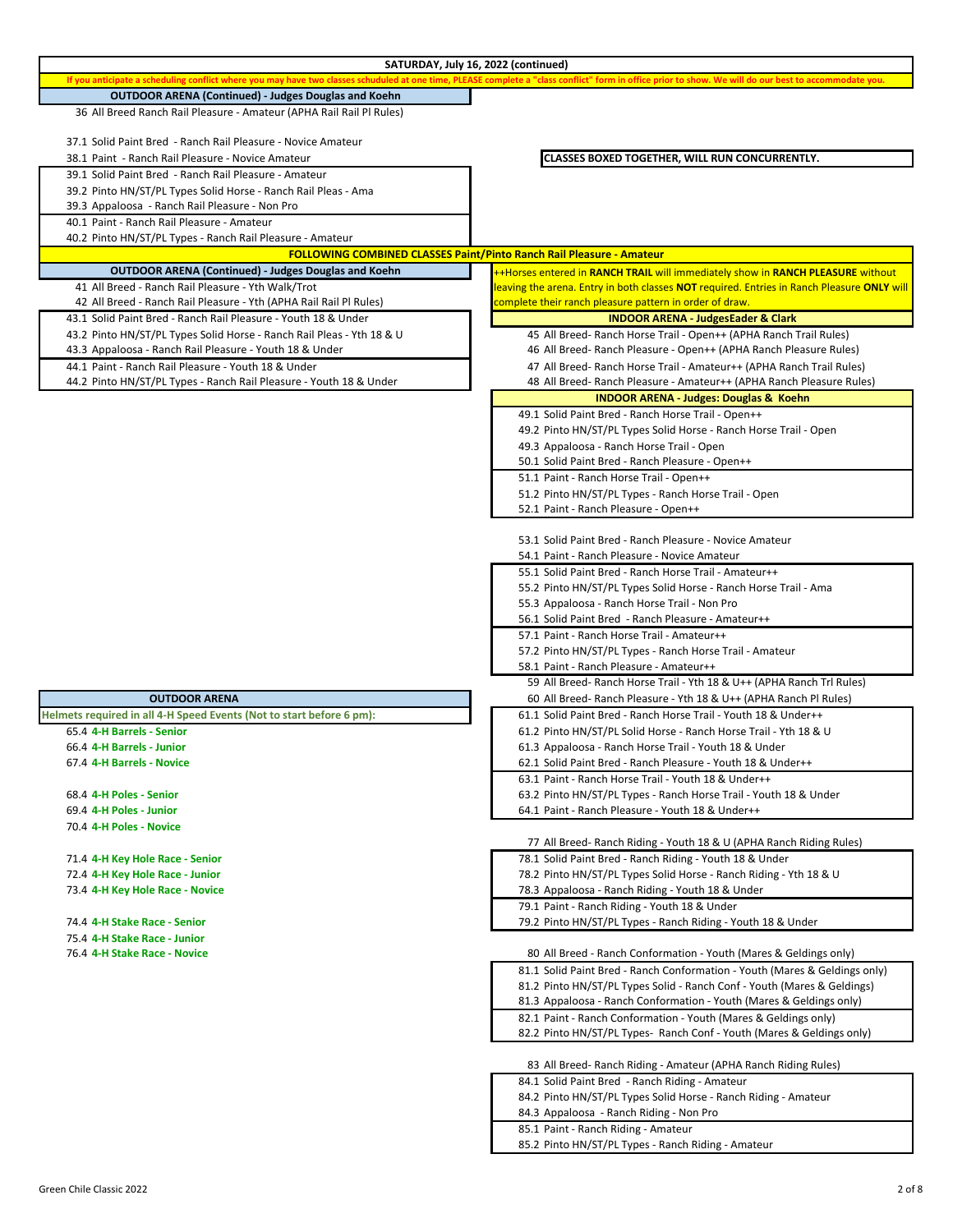|                                                                       | SATURDAY, July 16, 2022 (continued)                                                                                                                                                                    |
|-----------------------------------------------------------------------|--------------------------------------------------------------------------------------------------------------------------------------------------------------------------------------------------------|
|                                                                       | If you anticipate a scheduling conflict where you may have two classes schuduled at one time, PLEASE complete a "class conflict" form in office prior to show. We will do our best to accommodate you. |
| <b>OUTDOOR ARENA (Continued) - Judges Douglas and Koehn</b>           |                                                                                                                                                                                                        |
| 36 All Breed Ranch Rail Pleasure - Amateur (APHA Rail Rail Pl Rules)  |                                                                                                                                                                                                        |
|                                                                       |                                                                                                                                                                                                        |
| 37.1 Solid Paint Bred - Ranch Rail Pleasure - Novice Amateur          |                                                                                                                                                                                                        |
| 38.1 Paint - Ranch Rail Pleasure - Novice Amateur                     | CLASSES BOXED TOGETHER, WILL RUN CONCURRENTLY.                                                                                                                                                         |
| 39.1 Solid Paint Bred - Ranch Rail Pleasure - Amateur                 |                                                                                                                                                                                                        |
| 39.2 Pinto HN/ST/PL Types Solid Horse - Ranch Rail Pleas - Ama        |                                                                                                                                                                                                        |
| 39.3 Appaloosa - Ranch Rail Pleasure - Non Pro                        |                                                                                                                                                                                                        |
| 40.1 Paint - Ranch Rail Pleasure - Amateur                            |                                                                                                                                                                                                        |
| 40.2 Pinto HN/ST/PL Types - Ranch Rail Pleasure - Amateur             |                                                                                                                                                                                                        |
|                                                                       | <b>FOLLOWING COMBINED CLASSES Paint/Pinto Ranch Rail Pleasure - Amateur</b>                                                                                                                            |
| <b>OUTDOOR ARENA (Continued) - Judges Douglas and Koehn</b>           | ++Horses entered in RANCH TRAIL will immediately show in RANCH PLEASURE without                                                                                                                        |
| 41 All Breed - Ranch Rail Pleasure - Yth Walk/Trot                    | leaving the arena. Entry in both classes NOT required. Entries in Ranch Pleasure ONLY will                                                                                                             |
| 42 All Breed - Ranch Rail Pleasure - Yth (APHA Rail Rail Pl Rules)    | complete their ranch pleasure pattern in order of draw.                                                                                                                                                |
| 43.1 Solid Paint Bred - Ranch Rail Pleasure - Youth 18 & Under        | <b>INDOOR ARENA - JudgesEader &amp; Clark</b>                                                                                                                                                          |
| 43.2 Pinto HN/ST/PL Types Solid Horse - Ranch Rail Pleas - Yth 18 & U | 45 All Breed- Ranch Horse Trail - Open++ (APHA Ranch Trail Rules)                                                                                                                                      |
| 43.3 Appaloosa - Ranch Rail Pleasure - Youth 18 & Under               | 46 All Breed- Ranch Pleasure - Open++ (APHA Ranch Pleasure Rules)                                                                                                                                      |
| 44.1 Paint - Ranch Rail Pleasure - Youth 18 & Under                   | 47 All Breed- Ranch Horse Trail - Amateur++ (APHA Ranch Trail Rules)                                                                                                                                   |
| 44.2 Pinto HN/ST/PL Types - Ranch Rail Pleasure - Youth 18 & Under    | 48 All Breed- Ranch Pleasure - Amateur++ (APHA Ranch Pleasure Rules)                                                                                                                                   |
|                                                                       | <b>INDOOR ARENA - Judges: Douglas &amp; Koehn</b>                                                                                                                                                      |
|                                                                       | 49.1 Solid Paint Bred - Ranch Horse Trail - Open++                                                                                                                                                     |
|                                                                       | 49.2 Pinto HN/ST/PL Types Solid Horse - Ranch Horse Trail - Open                                                                                                                                       |
|                                                                       | 49.3 Appaloosa - Ranch Horse Trail - Open                                                                                                                                                              |
|                                                                       | 50.1 Solid Paint Bred - Ranch Pleasure - Open++                                                                                                                                                        |
|                                                                       | 51.1 Paint - Ranch Horse Trail - Open++                                                                                                                                                                |
|                                                                       | 51.2 Pinto HN/ST/PL Types - Ranch Horse Trail - Open                                                                                                                                                   |
|                                                                       | 52.1 Paint - Ranch Pleasure - Open++                                                                                                                                                                   |
|                                                                       |                                                                                                                                                                                                        |
|                                                                       | 53.1 Solid Paint Bred - Ranch Pleasure - Novice Amateur                                                                                                                                                |
|                                                                       | 54.1 Paint - Ranch Pleasure - Novice Amateur                                                                                                                                                           |
|                                                                       | 55.1 Solid Paint Bred - Ranch Horse Trail - Amateur++                                                                                                                                                  |
|                                                                       |                                                                                                                                                                                                        |
|                                                                       | 55.2 Pinto HN/ST/PL Types Solid Horse - Ranch Horse Trail - Ama                                                                                                                                        |
|                                                                       | 55.3 Appaloosa - Ranch Horse Trail - Non Pro                                                                                                                                                           |
|                                                                       | 56.1 Solid Paint Bred - Ranch Pleasure - Amateur++                                                                                                                                                     |
|                                                                       | 57.1 Paint - Ranch Horse Trail - Amateur++                                                                                                                                                             |
|                                                                       | 57.2 Pinto HN/ST/PL Types - Ranch Horse Trail - Amateur                                                                                                                                                |
|                                                                       | 58.1 Paint - Ranch Pleasure - Amateur++                                                                                                                                                                |
|                                                                       | 59 All Breed- Ranch Horse Trail - Yth 18 & U++ (APHA Ranch Trl Rules)                                                                                                                                  |
| <b>OUTDOOR ARENA</b>                                                  | 60 All Breed- Ranch Pleasure - Yth 18 & U++ (APHA Ranch Pl Rules)                                                                                                                                      |
| Helmets required in all 4-H Speed Events (Not to start before 6 pm):  | 61.1 Solid Paint Bred - Ranch Horse Trail - Youth 18 & Under++                                                                                                                                         |
| 65.4 4-H Barrels - Senior                                             | 61.2 Pinto HN/ST/PL Solid Horse - Ranch Horse Trail - Yth 18 & U                                                                                                                                       |
| 66.4 4-H Barrels - Junior                                             | 61.3 Appaloosa - Ranch Horse Trail - Youth 18 & Under                                                                                                                                                  |
| 67.4 4-H Barrels - Novice                                             | 62.1 Solid Paint Bred - Ranch Pleasure - Youth 18 & Under++                                                                                                                                            |
|                                                                       | 63.1 Paint - Ranch Horse Trail - Youth 18 & Under++                                                                                                                                                    |
| 68.4 4-H Poles - Senior                                               | 63.2 Pinto HN/ST/PL Types - Ranch Horse Trail - Youth 18 & Under                                                                                                                                       |
| 69.4 4-H Poles - Junior                                               | 64.1 Paint - Ranch Pleasure - Youth 18 & Under++                                                                                                                                                       |
| 70.4 4-H Poles - Novice                                               |                                                                                                                                                                                                        |
|                                                                       | 77 All Breed- Ranch Riding - Youth 18 & U (APHA Ranch Riding Rules)                                                                                                                                    |
| 71.4 4-H Key Hole Race - Senior                                       | 78.1 Solid Paint Bred - Ranch Riding - Youth 18 & Under                                                                                                                                                |
| 72.4 4-H Key Hole Race - Junior                                       | 78.2 Pinto HN/ST/PL Types Solid Horse - Ranch Riding - Yth 18 & U                                                                                                                                      |
| 73.4 4-H Key Hole Race - Novice                                       | 78.3 Appaloosa - Ranch Riding - Youth 18 & Under                                                                                                                                                       |
|                                                                       | 79.1 Paint - Ranch Riding - Youth 18 & Under                                                                                                                                                           |
| 74.4 4-H Stake Race - Senior                                          | 79.2 Pinto HN/ST/PL Types - Ranch Riding - Youth 18 & Under                                                                                                                                            |
| 75.4 4-H Stake Race - Junior                                          |                                                                                                                                                                                                        |
| 76.4 4-H Stake Race - Novice                                          | 80 All Breed - Ranch Conformation - Youth (Mares & Geldings only)                                                                                                                                      |
|                                                                       | 81.1 Solid Paint Bred - Ranch Conformation - Youth (Mares & Geldings only)                                                                                                                             |
|                                                                       | 81.2 Pinto HN/ST/PL Types Solid - Ranch Conf - Youth (Mares & Geldings)                                                                                                                                |
|                                                                       | 81.3 Appaloosa - Ranch Conformation - Youth (Mares & Geldings only)                                                                                                                                    |
|                                                                       | 82.1 Paint - Ranch Conformation - Youth (Mares & Geldings only)                                                                                                                                        |
|                                                                       | 82.2 Pinto HN/ST/PL Types- Ranch Conf - Youth (Mares & Geldings only)                                                                                                                                  |
|                                                                       |                                                                                                                                                                                                        |
|                                                                       | 83 All Breed- Ranch Riding - Amateur (APHA Ranch Riding Rules)                                                                                                                                         |
|                                                                       | 84.1 Solid Paint Bred - Ranch Riding - Amateur                                                                                                                                                         |
|                                                                       | 84.2 Pinto HN/ST/PL Types Solid Horse - Ranch Riding - Amateur                                                                                                                                         |
|                                                                       | 84.3 Appaloosa - Ranch Riding - Non Pro                                                                                                                                                                |
|                                                                       | 85.1 Paint - Ranch Riding - Amateur                                                                                                                                                                    |
|                                                                       | 85.2 Pinto HN/ST/PL Types - Ranch Riding - Amateur                                                                                                                                                     |
|                                                                       |                                                                                                                                                                                                        |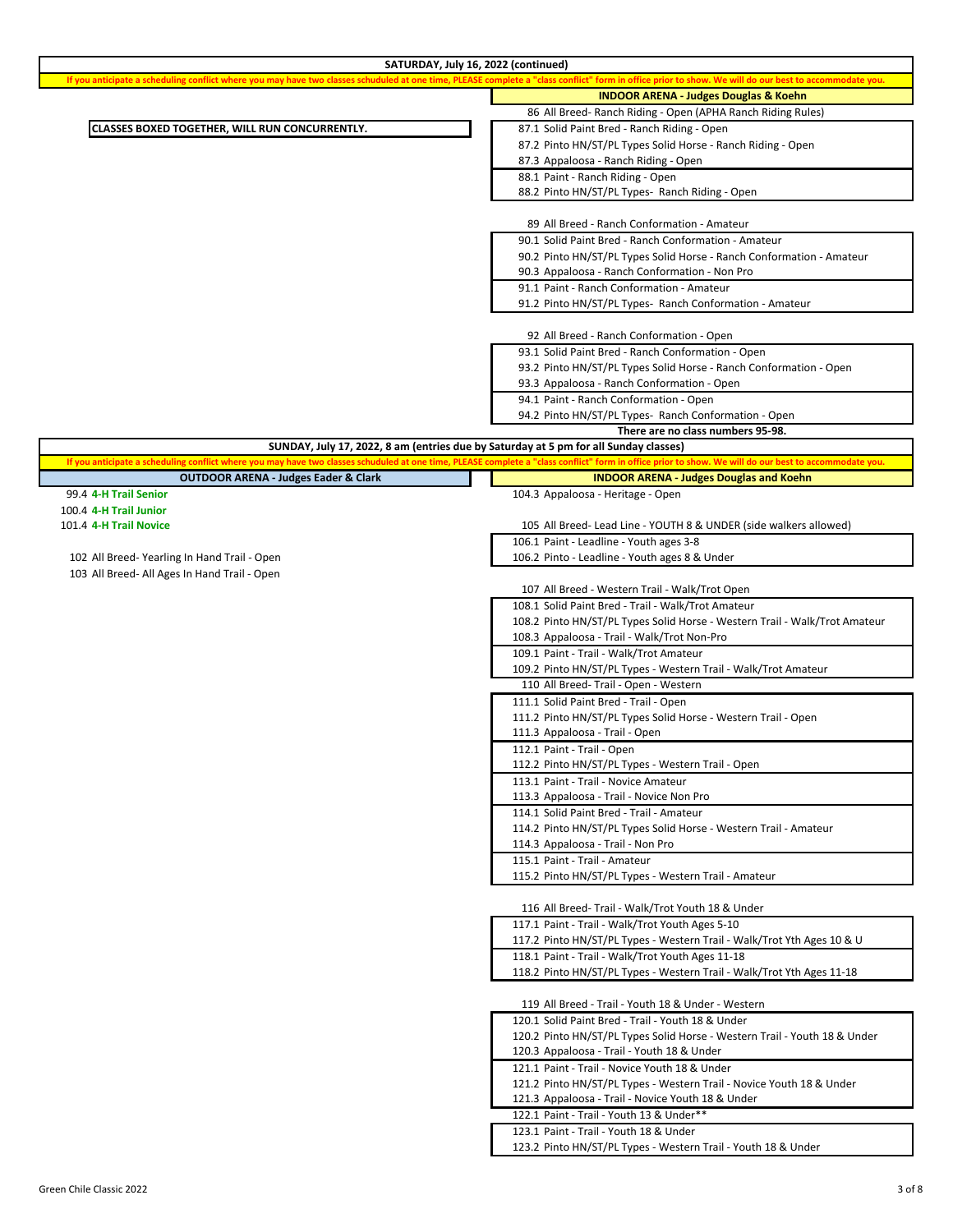| SATURDAY, July 16, 2022 (continued)                                                                                                                                                                    |                                                                            |
|--------------------------------------------------------------------------------------------------------------------------------------------------------------------------------------------------------|----------------------------------------------------------------------------|
| If you anticipate a scheduling conflict where you may have two classes schuduled at one time, PLEASE complete a "class conflict" form in office prior to show. We will do our best to accommodate you. |                                                                            |
|                                                                                                                                                                                                        | <b>INDOOR ARENA - Judges Douglas &amp; Koehn</b>                           |
|                                                                                                                                                                                                        | 86 All Breed- Ranch Riding - Open (APHA Ranch Riding Rules)                |
| CLASSES BOXED TOGETHER, WILL RUN CONCURRENTLY.                                                                                                                                                         | 87.1 Solid Paint Bred - Ranch Riding - Open                                |
|                                                                                                                                                                                                        | 87.2 Pinto HN/ST/PL Types Solid Horse - Ranch Riding - Open                |
|                                                                                                                                                                                                        | 87.3 Appaloosa - Ranch Riding - Open                                       |
|                                                                                                                                                                                                        | 88.1 Paint - Ranch Riding - Open                                           |
|                                                                                                                                                                                                        | 88.2 Pinto HN/ST/PL Types- Ranch Riding - Open                             |
|                                                                                                                                                                                                        |                                                                            |
|                                                                                                                                                                                                        | 89 All Breed - Ranch Conformation - Amateur                                |
|                                                                                                                                                                                                        | 90.1 Solid Paint Bred - Ranch Conformation - Amateur                       |
|                                                                                                                                                                                                        | 90.2 Pinto HN/ST/PL Types Solid Horse - Ranch Conformation - Amateur       |
|                                                                                                                                                                                                        | 90.3 Appaloosa - Ranch Conformation - Non Pro                              |
|                                                                                                                                                                                                        | 91.1 Paint - Ranch Conformation - Amateur                                  |
|                                                                                                                                                                                                        | 91.2 Pinto HN/ST/PL Types- Ranch Conformation - Amateur                    |
|                                                                                                                                                                                                        |                                                                            |
|                                                                                                                                                                                                        |                                                                            |
|                                                                                                                                                                                                        | 92 All Breed - Ranch Conformation - Open                                   |
|                                                                                                                                                                                                        | 93.1 Solid Paint Bred - Ranch Conformation - Open                          |
|                                                                                                                                                                                                        | 93.2 Pinto HN/ST/PL Types Solid Horse - Ranch Conformation - Open          |
|                                                                                                                                                                                                        | 93.3 Appaloosa - Ranch Conformation - Open                                 |
|                                                                                                                                                                                                        | 94.1 Paint - Ranch Conformation - Open                                     |
|                                                                                                                                                                                                        | 94.2 Pinto HN/ST/PL Types- Ranch Conformation - Open                       |
|                                                                                                                                                                                                        | There are no class numbers 95-98.                                          |
| SUNDAY, July 17, 2022, 8 am (entries due by Saturday at 5 pm for all Sunday classes)                                                                                                                   |                                                                            |
| If you anticipate a scheduling conflict where you may have two classes schuduled at one time, PLEASE complete a "class conflict" form in office prior to show. We will do our best to accommodate you. |                                                                            |
| <b>OUTDOOR ARENA - Judges Eader &amp; Clark</b>                                                                                                                                                        | <b>INDOOR ARENA - Judges Douglas and Koehn</b>                             |
| 99.4 4-H Trail Senior                                                                                                                                                                                  | 104.3 Appaloosa - Heritage - Open                                          |
| 100.4 4-H Trail Junior                                                                                                                                                                                 |                                                                            |
| 101.4 4-H Trail Novice                                                                                                                                                                                 | 105 All Breed- Lead Line - YOUTH 8 & UNDER (side walkers allowed)          |
|                                                                                                                                                                                                        | 106.1 Paint - Leadline - Youth ages 3-8                                    |
| 102 All Breed-Yearling In Hand Trail - Open                                                                                                                                                            | 106.2 Pinto - Leadline - Youth ages 8 & Under                              |
| 103 All Breed- All Ages In Hand Trail - Open                                                                                                                                                           |                                                                            |
|                                                                                                                                                                                                        | 107 All Breed - Western Trail - Walk/Trot Open                             |
|                                                                                                                                                                                                        | 108.1 Solid Paint Bred - Trail - Walk/Trot Amateur                         |
|                                                                                                                                                                                                        | 108.2 Pinto HN/ST/PL Types Solid Horse - Western Trail - Walk/Trot Amateur |
|                                                                                                                                                                                                        |                                                                            |
|                                                                                                                                                                                                        | 108.3 Appaloosa - Trail - Walk/Trot Non-Pro                                |
|                                                                                                                                                                                                        | 109.1 Paint - Trail - Walk/Trot Amateur                                    |
|                                                                                                                                                                                                        | 109.2 Pinto HN/ST/PL Types - Western Trail - Walk/Trot Amateur             |
|                                                                                                                                                                                                        | 110 All Breed-Trail - Open - Western                                       |
|                                                                                                                                                                                                        | 111.1 Solid Paint Bred - Trail - Open                                      |
|                                                                                                                                                                                                        | 111.2 Pinto HN/ST/PL Types Solid Horse - Western Trail - Open              |
|                                                                                                                                                                                                        | 111.3 Appaloosa - Trail - Open                                             |
|                                                                                                                                                                                                        | 112.1 Paint - Trail - Open                                                 |
|                                                                                                                                                                                                        | 112.2 Pinto HN/ST/PL Types - Western Trail - Open                          |
|                                                                                                                                                                                                        | 113.1 Paint - Trail - Novice Amateur                                       |
|                                                                                                                                                                                                        | 113.3 Appaloosa - Trail - Novice Non Pro                                   |
|                                                                                                                                                                                                        | 114.1 Solid Paint Bred - Trail - Amateur                                   |
|                                                                                                                                                                                                        | 114.2 Pinto HN/ST/PL Types Solid Horse - Western Trail - Amateur           |
|                                                                                                                                                                                                        | 114.3 Appaloosa - Trail - Non Pro                                          |
|                                                                                                                                                                                                        | 115.1 Paint - Trail - Amateur                                              |
|                                                                                                                                                                                                        | 115.2 Pinto HN/ST/PL Types - Western Trail - Amateur                       |
|                                                                                                                                                                                                        |                                                                            |
|                                                                                                                                                                                                        | 116 All Breed- Trail - Walk/Trot Youth 18 & Under                          |
|                                                                                                                                                                                                        | 117.1 Paint - Trail - Walk/Trot Youth Ages 5-10                            |
|                                                                                                                                                                                                        | 117.2 Pinto HN/ST/PL Types - Western Trail - Walk/Trot Yth Ages 10 & U     |
|                                                                                                                                                                                                        | 118.1 Paint - Trail - Walk/Trot Youth Ages 11-18                           |
|                                                                                                                                                                                                        | 118.2 Pinto HN/ST/PL Types - Western Trail - Walk/Trot Yth Ages 11-18      |
|                                                                                                                                                                                                        |                                                                            |
|                                                                                                                                                                                                        |                                                                            |
|                                                                                                                                                                                                        | 119 All Breed - Trail - Youth 18 & Under - Western                         |
|                                                                                                                                                                                                        | 120.1 Solid Paint Bred - Trail - Youth 18 & Under                          |
|                                                                                                                                                                                                        | 120.2 Pinto HN/ST/PL Types Solid Horse - Western Trail - Youth 18 & Under  |
|                                                                                                                                                                                                        | 120.3 Appaloosa - Trail - Youth 18 & Under                                 |
|                                                                                                                                                                                                        | 121.1 Paint - Trail - Novice Youth 18 & Under                              |
|                                                                                                                                                                                                        | 121.2 Pinto HN/ST/PL Types - Western Trail - Novice Youth 18 & Under       |
|                                                                                                                                                                                                        | 121.3 Appaloosa - Trail - Novice Youth 18 & Under                          |
|                                                                                                                                                                                                        |                                                                            |
|                                                                                                                                                                                                        | 122.1 Paint - Trail - Youth 13 & Under**                                   |
|                                                                                                                                                                                                        | 123.1 Paint - Trail - Youth 18 & Under                                     |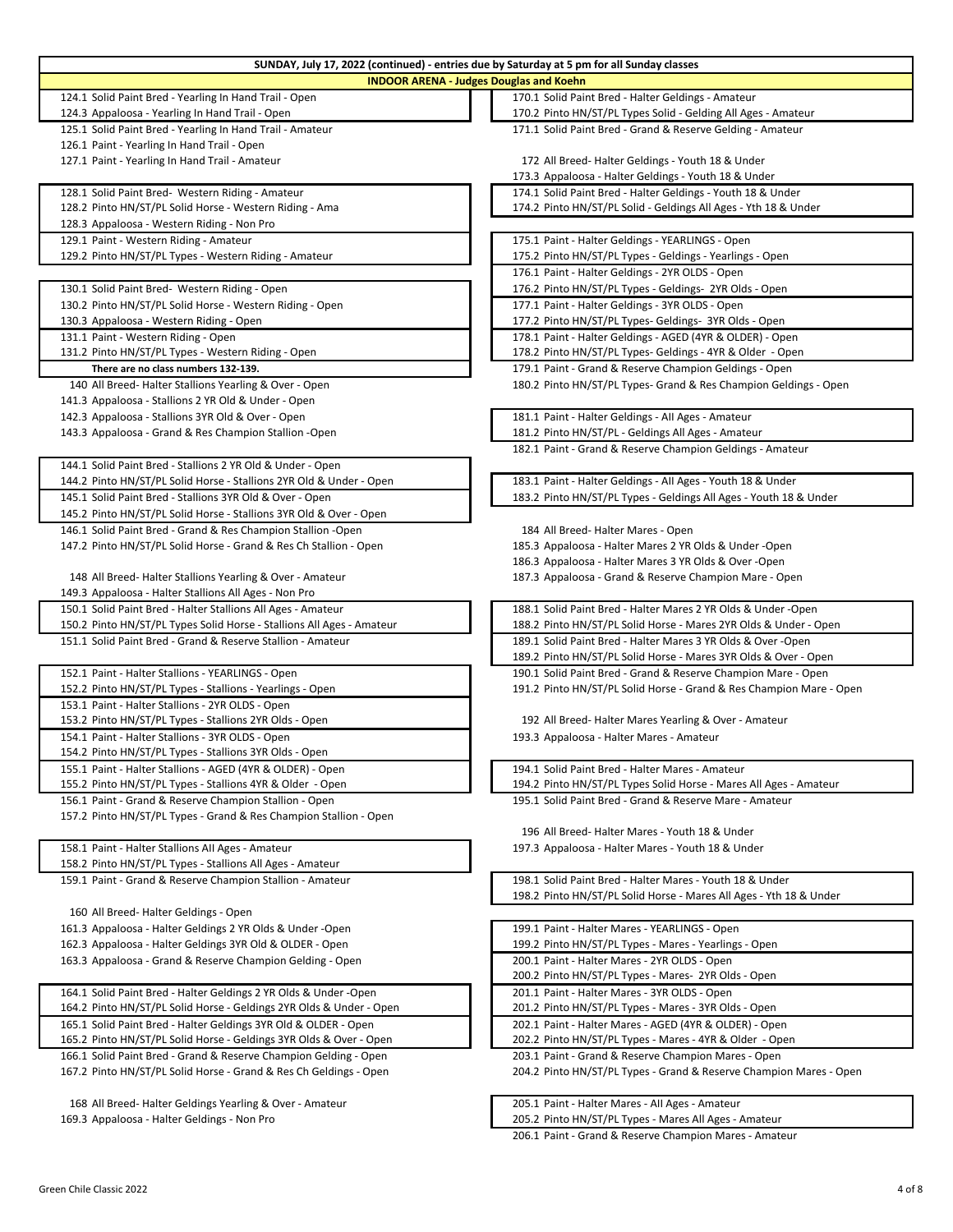| SUNDAY, July 17, 2022 (continued) - entries due by Saturday at 5 pm for all Sunday classes                  |                                                                     |
|-------------------------------------------------------------------------------------------------------------|---------------------------------------------------------------------|
| <b>INDOOR ARENA - Judges Douglas and Koehn</b>                                                              |                                                                     |
| 124.1 Solid Paint Bred - Yearling In Hand Trail - Open                                                      | 170.1 Solid Paint Bred - Halter Geldings - Amateur                  |
| 124.3 Appaloosa - Yearling In Hand Trail - Open                                                             | 170.2 Pinto HN/ST/PL Types Solid - Gelding All Ages - Amateur       |
| 125.1 Solid Paint Bred - Yearling In Hand Trail - Amateur                                                   | 171.1 Solid Paint Bred - Grand & Reserve Gelding - Amateur          |
| 126.1 Paint - Yearling In Hand Trail - Open                                                                 |                                                                     |
| 127.1 Paint - Yearling In Hand Trail - Amateur                                                              | 172 All Breed-Halter Geldings - Youth 18 & Under                    |
|                                                                                                             | 173.3 Appaloosa - Halter Geldings - Youth 18 & Under                |
|                                                                                                             | 174.1 Solid Paint Bred - Halter Geldings - Youth 18 & Under         |
| 128.1 Solid Paint Bred- Western Riding - Amateur<br>128.2 Pinto HN/ST/PL Solid Horse - Western Riding - Ama | 174.2 Pinto HN/ST/PL Solid - Geldings All Ages - Yth 18 & Under     |
|                                                                                                             |                                                                     |
| 128.3 Appaloosa - Western Riding - Non Pro                                                                  |                                                                     |
| 129.1 Paint - Western Riding - Amateur                                                                      | 175.1 Paint - Halter Geldings - YEARLINGS - Open                    |
| 129.2 Pinto HN/ST/PL Types - Western Riding - Amateur                                                       | 175.2 Pinto HN/ST/PL Types - Geldings - Yearlings - Open            |
|                                                                                                             | 176.1 Paint - Halter Geldings - 2YR OLDS - Open                     |
| 130.1 Solid Paint Bred- Western Riding - Open                                                               | 176.2 Pinto HN/ST/PL Types - Geldings- 2YR Olds - Open              |
| 130.2 Pinto HN/ST/PL Solid Horse - Western Riding - Open                                                    | 177.1 Paint - Halter Geldings - 3YR OLDS - Open                     |
| 130.3 Appaloosa - Western Riding - Open                                                                     | 177.2 Pinto HN/ST/PL Types- Geldings- 3YR Olds - Open               |
| 131.1 Paint - Western Riding - Open                                                                         | 178.1 Paint - Halter Geldings - AGED (4YR & OLDER) - Open           |
| 131.2 Pinto HN/ST/PL Types - Western Riding - Open                                                          | 178.2 Pinto HN/ST/PL Types- Geldings - 4YR & Older - Open           |
| There are no class numbers 132-139.                                                                         | 179.1 Paint - Grand & Reserve Champion Geldings - Open              |
| 140 All Breed-Halter Stallions Yearling & Over - Open                                                       | 180.2 Pinto HN/ST/PL Types- Grand & Res Champion Geldings - Open    |
| 141.3 Appaloosa - Stallions 2 YR Old & Under - Open                                                         |                                                                     |
| 142.3 Appaloosa - Stallions 3YR Old & Over - Open                                                           | 181.1 Paint - Halter Geldings - All Ages - Amateur                  |
| 143.3 Appaloosa - Grand & Res Champion Stallion - Open                                                      | 181.2 Pinto HN/ST/PL - Geldings All Ages - Amateur                  |
|                                                                                                             | 182.1 Paint - Grand & Reserve Champion Geldings - Amateur           |
| 144.1 Solid Paint Bred - Stallions 2 YR Old & Under - Open                                                  |                                                                     |
| 144.2 Pinto HN/ST/PL Solid Horse - Stallions 2YR Old & Under - Open                                         | 183.1 Paint - Halter Geldings - All Ages - Youth 18 & Under         |
| 145.1 Solid Paint Bred - Stallions 3YR Old & Over - Open                                                    | 183.2 Pinto HN/ST/PL Types - Geldings All Ages - Youth 18 & Under   |
| 145.2 Pinto HN/ST/PL Solid Horse - Stallions 3YR Old & Over - Open                                          |                                                                     |
| 146.1 Solid Paint Bred - Grand & Res Champion Stallion -Open                                                | 184 All Breed-Halter Mares - Open                                   |
| 147.2 Pinto HN/ST/PL Solid Horse - Grand & Res Ch Stallion - Open                                           | 185.3 Appaloosa - Halter Mares 2 YR Olds & Under -Open              |
|                                                                                                             | 186.3 Appaloosa - Halter Mares 3 YR Olds & Over -Open               |
| 148 All Breed-Halter Stallions Yearling & Over - Amateur                                                    | 187.3 Appaloosa - Grand & Reserve Champion Mare - Open              |
| 149.3 Appaloosa - Halter Stallions All Ages - Non Pro                                                       |                                                                     |
| 150.1 Solid Paint Bred - Halter Stallions All Ages - Amateur                                                | 188.1 Solid Paint Bred - Halter Mares 2 YR Olds & Under -Open       |
| 150.2 Pinto HN/ST/PL Types Solid Horse - Stallions All Ages - Amateur                                       | 188.2 Pinto HN/ST/PL Solid Horse - Mares 2YR Olds & Under - Open    |
| 151.1 Solid Paint Bred - Grand & Reserve Stallion - Amateur                                                 | 189.1 Solid Paint Bred - Halter Mares 3 YR Olds & Over -Open        |
|                                                                                                             | 189.2 Pinto HN/ST/PL Solid Horse - Mares 3YR Olds & Over - Open     |
| 152.1 Paint - Halter Stallions - YEARLINGS - Open                                                           | 190.1 Solid Paint Bred - Grand & Reserve Champion Mare - Open       |
| 152.2 Pinto HN/ST/PL Types - Stallions - Yearlings - Open                                                   | 191.2 Pinto HN/ST/PL Solid Horse - Grand & Res Champion Mare - Open |
|                                                                                                             |                                                                     |
| 153.1 Paint - Halter Stallions - 2YR OLDS - Open                                                            |                                                                     |
| 153.2 Pinto HN/ST/PL Types - Stallions 2YR Olds - Open                                                      | 192 All Breed-Halter Mares Yearling & Over - Amateur                |
| 154.1 Paint - Halter Stallions - 3YR OLDS - Open                                                            | 193.3 Appaloosa - Halter Mares - Amateur                            |
| 154.2 Pinto HN/ST/PL Types - Stallions 3YR Olds - Open                                                      |                                                                     |
| 155.1 Paint - Halter Stallions - AGED (4YR & OLDER) - Open                                                  | 194.1 Solid Paint Bred - Halter Mares - Amateur                     |
| 155.2 Pinto HN/ST/PL Types - Stallions 4YR & Older - Open                                                   | 194.2 Pinto HN/ST/PL Types Solid Horse - Mares All Ages - Amateur   |
| 156.1 Paint - Grand & Reserve Champion Stallion - Open                                                      | 195.1 Solid Paint Bred - Grand & Reserve Mare - Amateur             |
| 157.2 Pinto HN/ST/PL Types - Grand & Res Champion Stallion - Open                                           |                                                                     |
|                                                                                                             | 196 All Breed-Halter Mares - Youth 18 & Under                       |
| 158.1 Paint - Halter Stallions All Ages - Amateur                                                           | 197.3 Appaloosa - Halter Mares - Youth 18 & Under                   |
| 158.2 Pinto HN/ST/PL Types - Stallions All Ages - Amateur                                                   |                                                                     |
| 159.1 Paint - Grand & Reserve Champion Stallion - Amateur                                                   | 198.1 Solid Paint Bred - Halter Mares - Youth 18 & Under            |
|                                                                                                             | 198.2 Pinto HN/ST/PL Solid Horse - Mares All Ages - Yth 18 & Under  |
| 160 All Breed-Halter Geldings - Open                                                                        |                                                                     |
| 161.3 Appaloosa - Halter Geldings 2 YR Olds & Under -Open                                                   | 199.1 Paint - Halter Mares - YEARLINGS - Open                       |
| 162.3 Appaloosa - Halter Geldings 3YR Old & OLDER - Open                                                    | 199.2 Pinto HN/ST/PL Types - Mares - Yearlings - Open               |
| 163.3 Appaloosa - Grand & Reserve Champion Gelding - Open                                                   | 200.1 Paint - Halter Mares - 2YR OLDS - Open                        |
|                                                                                                             | 200.2 Pinto HN/ST/PL Types - Mares- 2YR Olds - Open                 |
| 164.1 Solid Paint Bred - Halter Geldings 2 YR Olds & Under -Open                                            | 201.1 Paint - Halter Mares - 3YR OLDS - Open                        |
| 164.2 Pinto HN/ST/PL Solid Horse - Geldings 2YR Olds & Under - Open                                         | 201.2 Pinto HN/ST/PL Types - Mares - 3YR Olds - Open                |
| 165.1 Solid Paint Bred - Halter Geldings 3YR Old & OLDER - Open                                             | 202.1 Paint - Halter Mares - AGED (4YR & OLDER) - Open              |
| 165.2 Pinto HN/ST/PL Solid Horse - Geldings 3YR Olds & Over - Open                                          | 202.2 Pinto HN/ST/PL Types - Mares - 4YR & Older - Open             |
| 166.1 Solid Paint Bred - Grand & Reserve Champion Gelding - Open                                            | 203.1 Paint - Grand & Reserve Champion Mares - Open                 |
| 167.2 Pinto HN/ST/PL Solid Horse - Grand & Res Ch Geldings - Open                                           | 204.2 Pinto HN/ST/PL Types - Grand & Reserve Champion Mares - Open  |
|                                                                                                             |                                                                     |
| 168 All Breed-Halter Geldings Yearling & Over - Amateur                                                     | 205.1 Paint - Halter Mares - All Ages - Amateur                     |
| 169.3 Appaloosa - Halter Geldings - Non Pro                                                                 | 205.2 Pinto HN/ST/PL Types - Mares All Ages - Amateur               |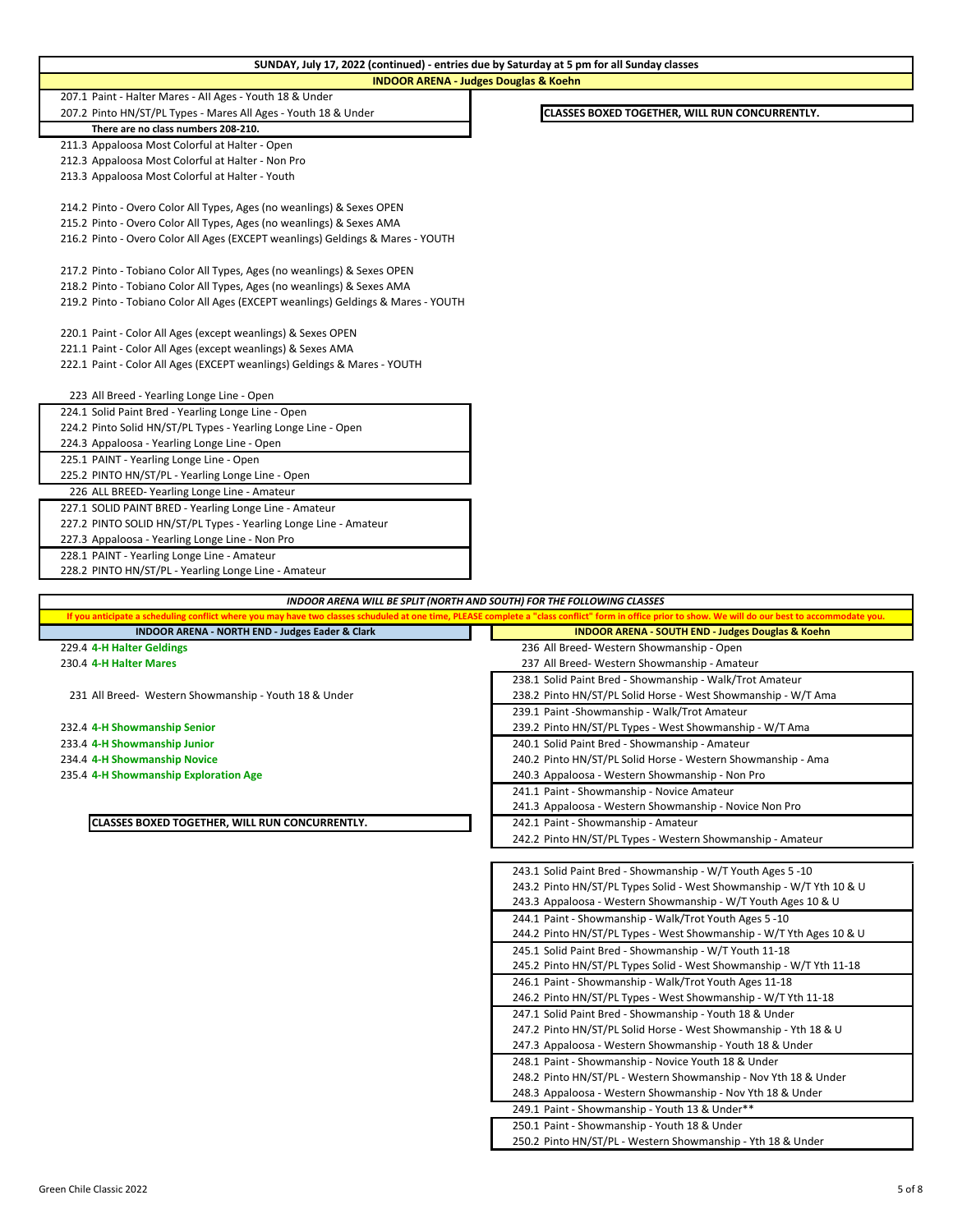| <b>INDOOR ARENA - Judges Douglas &amp; Koehn</b>                                                                                                                                                       |                                                                                                                             |
|--------------------------------------------------------------------------------------------------------------------------------------------------------------------------------------------------------|-----------------------------------------------------------------------------------------------------------------------------|
| 207.1 Paint - Halter Mares - All Ages - Youth 18 & Under                                                                                                                                               |                                                                                                                             |
| 207.2 Pinto HN/ST/PL Types - Mares All Ages - Youth 18 & Under                                                                                                                                         | CLASSES BOXED TOGETHER, WILL RUN CONCURRENTLY.                                                                              |
| There are no class numbers 208-210.                                                                                                                                                                    |                                                                                                                             |
| 211.3 Appaloosa Most Colorful at Halter - Open                                                                                                                                                         |                                                                                                                             |
| 212.3 Appaloosa Most Colorful at Halter - Non Pro                                                                                                                                                      |                                                                                                                             |
| 213.3 Appaloosa Most Colorful at Halter - Youth                                                                                                                                                        |                                                                                                                             |
| 214.2 Pinto - Overo Color All Types, Ages (no weanlings) & Sexes OPEN                                                                                                                                  |                                                                                                                             |
| 215.2 Pinto - Overo Color All Types, Ages (no weanlings) & Sexes AMA                                                                                                                                   |                                                                                                                             |
| 216.2 Pinto - Overo Color All Ages (EXCEPT weanlings) Geldings & Mares - YOUTH                                                                                                                         |                                                                                                                             |
|                                                                                                                                                                                                        |                                                                                                                             |
| 217.2 Pinto - Tobiano Color All Types, Ages (no weanlings) & Sexes OPEN                                                                                                                                |                                                                                                                             |
| 218.2 Pinto - Tobiano Color All Types, Ages (no weanlings) & Sexes AMA                                                                                                                                 |                                                                                                                             |
| 219.2 Pinto - Tobiano Color All Ages (EXCEPT weanlings) Geldings & Mares - YOUTH                                                                                                                       |                                                                                                                             |
| 220.1 Paint - Color All Ages (except weanlings) & Sexes OPEN                                                                                                                                           |                                                                                                                             |
| 221.1 Paint - Color All Ages (except weanlings) & Sexes AMA                                                                                                                                            |                                                                                                                             |
| 222.1 Paint - Color All Ages (EXCEPT weanlings) Geldings & Mares - YOUTH                                                                                                                               |                                                                                                                             |
|                                                                                                                                                                                                        |                                                                                                                             |
| 223 All Breed - Yearling Longe Line - Open                                                                                                                                                             |                                                                                                                             |
| 224.1 Solid Paint Bred - Yearling Longe Line - Open                                                                                                                                                    |                                                                                                                             |
| 224.2 Pinto Solid HN/ST/PL Types - Yearling Longe Line - Open                                                                                                                                          |                                                                                                                             |
| 224.3 Appaloosa - Yearling Longe Line - Open                                                                                                                                                           |                                                                                                                             |
| 225.1 PAINT - Yearling Longe Line - Open                                                                                                                                                               |                                                                                                                             |
| 225.2 PINTO HN/ST/PL - Yearling Longe Line - Open                                                                                                                                                      |                                                                                                                             |
| 226 ALL BREED- Yearling Longe Line - Amateur                                                                                                                                                           |                                                                                                                             |
| 227.1 SOLID PAINT BRED - Yearling Longe Line - Amateur                                                                                                                                                 |                                                                                                                             |
| 227.2 PINTO SOLID HN/ST/PL Types - Yearling Longe Line - Amateur                                                                                                                                       |                                                                                                                             |
| 227.3 Appaloosa - Yearling Longe Line - Non Pro                                                                                                                                                        |                                                                                                                             |
| 228.1 PAINT - Yearling Longe Line - Amateur                                                                                                                                                            |                                                                                                                             |
| 228.2 PINTO HN/ST/PL - Yearling Longe Line - Amateur                                                                                                                                                   |                                                                                                                             |
|                                                                                                                                                                                                        |                                                                                                                             |
| INDOOR ARENA WILL BE SPLIT (NORTH AND SOUTH) FOR THE FOLLOWING CLASSES                                                                                                                                 |                                                                                                                             |
| If you anticipate a scheduling conflict where you may have two classes schuduled at one time, PLEASE complete a "class conflict" form in office prior to show. We will do our best to accommodate you. |                                                                                                                             |
| INDOOR ARENA - NORTH END - Judges Eader & Clark                                                                                                                                                        | <b>INDOOR ARENA - SOUTH END - Judges Douglas &amp; Koehn</b>                                                                |
| 229.4 4-H Halter Geldings                                                                                                                                                                              | 236 All Breed-Western Showmanship - Open                                                                                    |
| 230.4 4-H Halter Mares                                                                                                                                                                                 | 237 All Breed- Western Showmanship - Amateur                                                                                |
|                                                                                                                                                                                                        | 238.1 Solid Paint Bred - Showmanship - Walk/Trot Amateur                                                                    |
| 231 All Breed- Western Showmanship - Youth 18 & Under                                                                                                                                                  | 238.2 Pinto HN/ST/PL Solid Horse - West Showmanship - W/T Ama                                                               |
|                                                                                                                                                                                                        | 239.1 Paint - Showmanship - Walk/Trot Amateur                                                                               |
| 232.4 4-H Showmanship Senior                                                                                                                                                                           | 239.2 Pinto HN/ST/PL Types - West Showmanship - W/T Ama                                                                     |
| 233.4 4-H Showmanship Junior                                                                                                                                                                           | 240.1 Solid Paint Bred - Showmanship - Amateur                                                                              |
| 234.4 4-H Showmanship Novice                                                                                                                                                                           | 240.2 Pinto HN/ST/PL Solid Horse - Western Showmanship - Ama                                                                |
| 235.4 4-H Showmanship Exploration Age                                                                                                                                                                  | 240.3 Appaloosa - Western Showmanship - Non Pro                                                                             |
|                                                                                                                                                                                                        | 241.1 Paint - Showmanship - Novice Amateur                                                                                  |
| CLASSES BOXED TOGETHER, WILL RUN CONCURRENTLY.                                                                                                                                                         | 241.3 Appaloosa - Western Showmanship - Novice Non Pro<br>242.1 Paint - Showmanship - Amateur                               |
|                                                                                                                                                                                                        | 242.2 Pinto HN/ST/PL Types - Western Showmanship - Amateur                                                                  |
|                                                                                                                                                                                                        |                                                                                                                             |
|                                                                                                                                                                                                        | 243.1 Solid Paint Bred - Showmanship - W/T Youth Ages 5 -10                                                                 |
|                                                                                                                                                                                                        | 243.2 Pinto HN/ST/PL Types Solid - West Showmanship - W/T Yth 10 & U                                                        |
|                                                                                                                                                                                                        | 243.3 Appaloosa - Western Showmanship - W/T Youth Ages 10 & U                                                               |
|                                                                                                                                                                                                        | 244.1 Paint - Showmanship - Walk/Trot Youth Ages 5 -10                                                                      |
|                                                                                                                                                                                                        | 244.2 Pinto HN/ST/PL Types - West Showmanship - W/T Yth Ages 10 & U                                                         |
|                                                                                                                                                                                                        | 245.1 Solid Paint Bred - Showmanship - W/T Youth 11-18                                                                      |
|                                                                                                                                                                                                        | 245.2 Pinto HN/ST/PL Types Solid - West Showmanship - W/T Yth 11-18                                                         |
|                                                                                                                                                                                                        | 246.1 Paint - Showmanship - Walk/Trot Youth Ages 11-18                                                                      |
|                                                                                                                                                                                                        | 246.2 Pinto HN/ST/PL Types - West Showmanship - W/T Yth 11-18                                                               |
|                                                                                                                                                                                                        | 247.1 Solid Paint Bred - Showmanship - Youth 18 & Under<br>247.2 Pinto HN/ST/PL Solid Horse - West Showmanship - Yth 18 & U |
|                                                                                                                                                                                                        | 247.3 Appaloosa - Western Showmanship - Youth 18 & Under                                                                    |
|                                                                                                                                                                                                        | 248.1 Paint - Showmanship - Novice Youth 18 & Under                                                                         |
|                                                                                                                                                                                                        | 248.2 Pinto HN/ST/PL - Western Showmanship - Nov Yth 18 & Under                                                             |
|                                                                                                                                                                                                        | 248.3 Appaloosa - Western Showmanship - Nov Yth 18 & Under                                                                  |

**SUNDAY, July 17, 2022 (continued) - entries due by Saturday at 5 pm for all Sunday classes**

250.1 Paint - Showmanship - Youth 18 & Under

250.2 Pinto HN/ST/PL - Western Showmanship - Yth 18 & Under

## Green Chile Classic 2022 5 of 8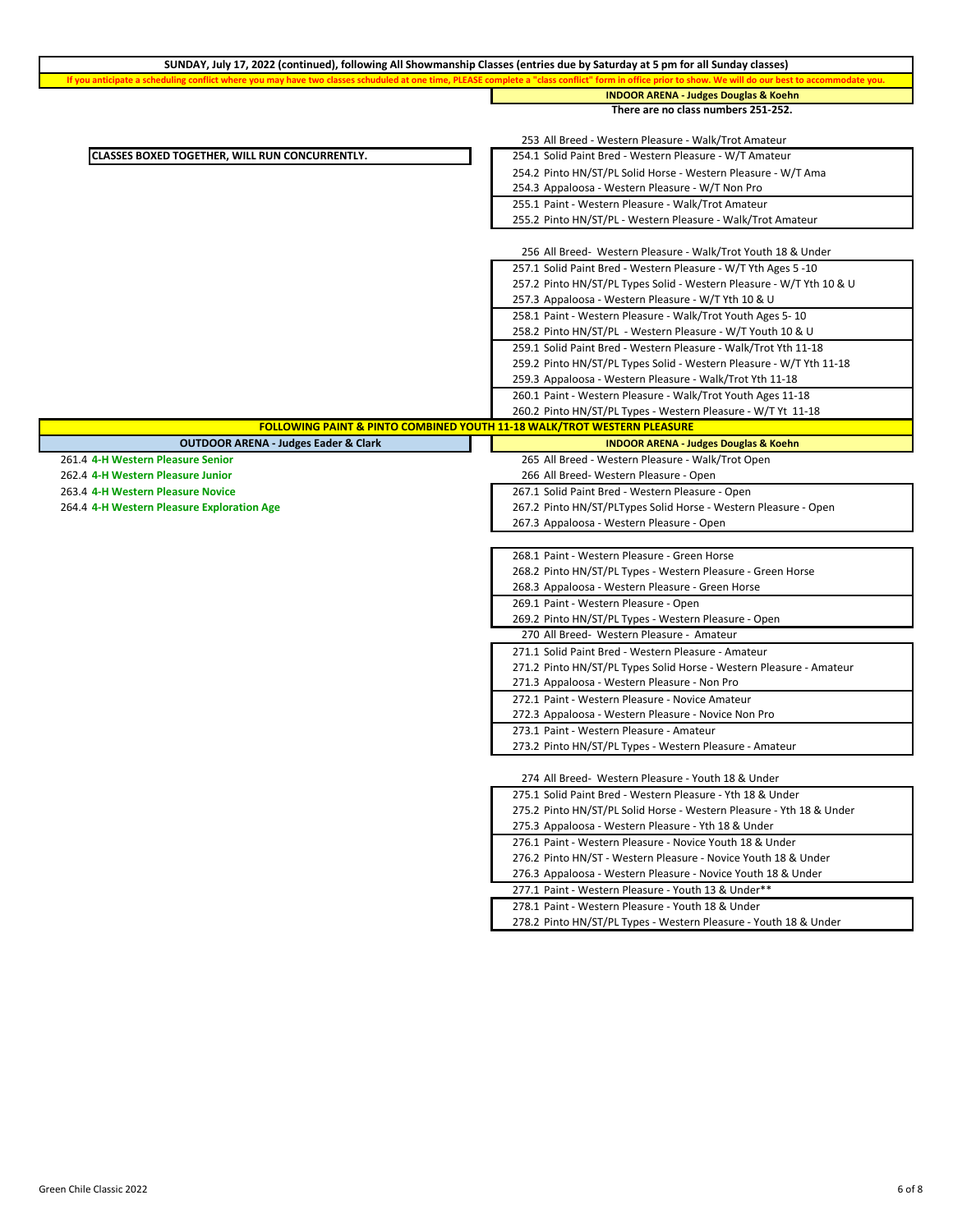| SUNDAY, July 17, 2022 (continued), following All Showmanship Classes (entries due by Saturday at 5 pm for all Sunday classes)                |                                                                      |
|----------------------------------------------------------------------------------------------------------------------------------------------|----------------------------------------------------------------------|
| If you anticipate a scheduling conflict where you may have two classes schuduled at one time, PLEASE complete a "class conflict" form in off | to show. We will do our best to accommodate you.                     |
|                                                                                                                                              | <b>INDOOR ARENA - Judges Douglas &amp; Koehn</b>                     |
|                                                                                                                                              | There are no class numbers 251-252.                                  |
|                                                                                                                                              |                                                                      |
|                                                                                                                                              | 253 All Breed - Western Pleasure - Walk/Trot Amateur                 |
| CLASSES BOXED TOGETHER, WILL RUN CONCURRENTLY.                                                                                               | 254.1 Solid Paint Bred - Western Pleasure - W/T Amateur              |
|                                                                                                                                              | 254.2 Pinto HN/ST/PL Solid Horse - Western Pleasure - W/T Ama        |
|                                                                                                                                              | 254.3 Appaloosa - Western Pleasure - W/T Non Pro                     |
|                                                                                                                                              | 255.1 Paint - Western Pleasure - Walk/Trot Amateur                   |
|                                                                                                                                              | 255.2 Pinto HN/ST/PL - Western Pleasure - Walk/Trot Amateur          |
|                                                                                                                                              |                                                                      |
|                                                                                                                                              | 256 All Breed- Western Pleasure - Walk/Trot Youth 18 & Under         |
|                                                                                                                                              | 257.1 Solid Paint Bred - Western Pleasure - W/T Yth Ages 5 -10       |
|                                                                                                                                              | 257.2 Pinto HN/ST/PL Types Solid - Western Pleasure - W/T Yth 10 & U |
|                                                                                                                                              | 257.3 Appaloosa - Western Pleasure - W/T Yth 10 & U                  |
|                                                                                                                                              | 258.1 Paint - Western Pleasure - Walk/Trot Youth Ages 5-10           |
|                                                                                                                                              | 258.2 Pinto HN/ST/PL - Western Pleasure - W/T Youth 10 & U           |
|                                                                                                                                              | 259.1 Solid Paint Bred - Western Pleasure - Walk/Trot Yth 11-18      |
|                                                                                                                                              | 259.2 Pinto HN/ST/PL Types Solid - Western Pleasure - W/T Yth 11-18  |
|                                                                                                                                              | 259.3 Appaloosa - Western Pleasure - Walk/Trot Yth 11-18             |
|                                                                                                                                              | 260.1 Paint - Western Pleasure - Walk/Trot Youth Ages 11-18          |
|                                                                                                                                              | 260.2 Pinto HN/ST/PL Types - Western Pleasure - W/T Yt 11-18         |
| <b>FOLLOWING PAINT &amp; PINTO COMBINED YOUTH 11-18 WALK/TROT WESTERN PLEASURE</b>                                                           |                                                                      |
| <b>OUTDOOR ARENA - Judges Eader &amp; Clark</b>                                                                                              | <b>INDOOR ARENA - Judges Douglas &amp; Koehn</b>                     |
| 261.4 4-H Western Pleasure Senior                                                                                                            | 265 All Breed - Western Pleasure - Walk/Trot Open                    |
| 262.4 4-H Western Pleasure Junior                                                                                                            | 266 All Breed- Western Pleasure - Open                               |
| 263.4 4-H Western Pleasure Novice                                                                                                            | 267.1 Solid Paint Bred - Western Pleasure - Open                     |
| 264.4 4-H Western Pleasure Exploration Age                                                                                                   | 267.2 Pinto HN/ST/PLTypes Solid Horse - Western Pleasure - Open      |
|                                                                                                                                              | 267.3 Appaloosa - Western Pleasure - Open                            |
|                                                                                                                                              |                                                                      |
|                                                                                                                                              | 268.1 Paint - Western Pleasure - Green Horse                         |
|                                                                                                                                              |                                                                      |
|                                                                                                                                              | 268.2 Pinto HN/ST/PL Types - Western Pleasure - Green Horse          |
|                                                                                                                                              | 268.3 Appaloosa - Western Pleasure - Green Horse                     |
|                                                                                                                                              | 269.1 Paint - Western Pleasure - Open                                |
|                                                                                                                                              | 269.2 Pinto HN/ST/PL Types - Western Pleasure - Open                 |
|                                                                                                                                              | 270 All Breed- Western Pleasure - Amateur                            |
|                                                                                                                                              | 271.1 Solid Paint Bred - Western Pleasure - Amateur                  |
|                                                                                                                                              | 271.2 Pinto HN/ST/PL Types Solid Horse - Western Pleasure - Amateur  |
|                                                                                                                                              | 271.3 Appaloosa - Western Pleasure - Non Pro                         |
|                                                                                                                                              | 272.1 Paint - Western Pleasure - Novice Amateur                      |
|                                                                                                                                              | 272.3 Appaloosa - Western Pleasure - Novice Non Pro                  |
|                                                                                                                                              | 273.1 Paint - Western Pleasure - Amateur                             |
|                                                                                                                                              | 273.2 Pinto HN/ST/PL Types - Western Pleasure - Amateur              |
|                                                                                                                                              |                                                                      |
|                                                                                                                                              | 274 All Breed- Western Pleasure - Youth 18 & Under                   |
|                                                                                                                                              | 275.1 Solid Paint Bred - Western Pleasure - Yth 18 & Under           |
|                                                                                                                                              | 275.2 Pinto HN/ST/PL Solid Horse - Western Pleasure - Yth 18 & Under |
|                                                                                                                                              | 275.3 Appaloosa - Western Pleasure - Yth 18 & Under                  |
|                                                                                                                                              | 276.1 Paint - Western Pleasure - Novice Youth 18 & Under             |
|                                                                                                                                              | 276.2 Pinto HN/ST - Western Pleasure - Novice Youth 18 & Under       |
|                                                                                                                                              | 276.3 Appaloosa - Western Pleasure - Novice Youth 18 & Under         |
|                                                                                                                                              | 277.1 Paint - Western Pleasure - Youth 13 & Under**                  |
|                                                                                                                                              | 278.1 Paint - Western Pleasure - Youth 18 & Under                    |
|                                                                                                                                              | 278.2 Pinto HN/ST/PL Types - Western Pleasure - Youth 18 & Under     |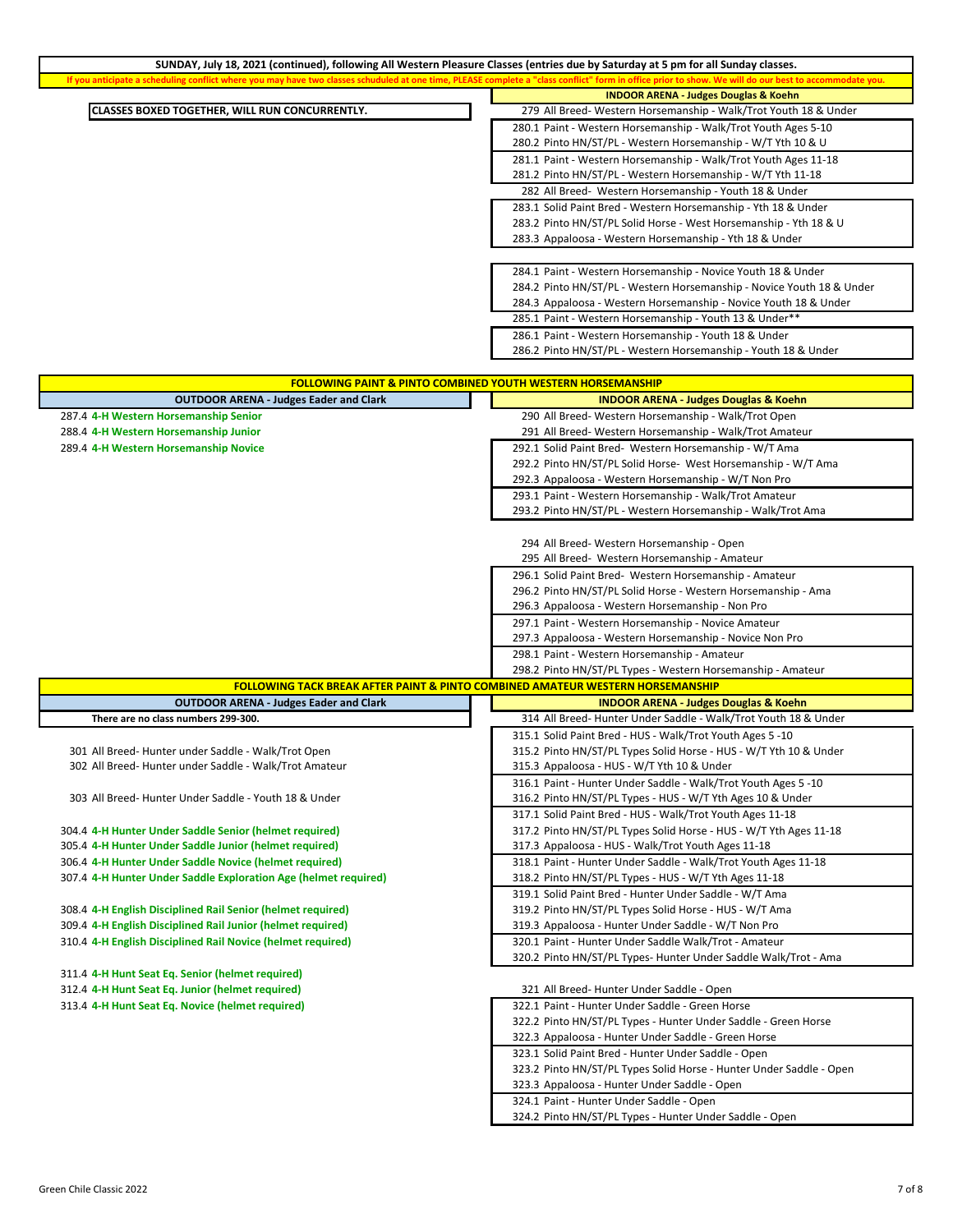| SUNDAY, July 18, 2021 (continued), following All Western Pleasure Classes (entries due by Saturday at 5 pm for all Sunday classes.                                              |                                                                                             |
|---------------------------------------------------------------------------------------------------------------------------------------------------------------------------------|---------------------------------------------------------------------------------------------|
| If you anticipate a scheduling conflict where you may have two classes schuduled at one time, PLEASE complete a "class conflict" form in office prior to show. We will do our b | t to accommodate you.                                                                       |
|                                                                                                                                                                                 | <b>INDOOR ARENA - Judges Douglas &amp; Koehn</b>                                            |
| CLASSES BOXED TOGETHER, WILL RUN CONCURRENTLY.                                                                                                                                  | 279 All Breed- Western Horsemanship - Walk/Trot Youth 18 & Under                            |
|                                                                                                                                                                                 | 280.1 Paint - Western Horsemanship - Walk/Trot Youth Ages 5-10                              |
|                                                                                                                                                                                 | 280.2 Pinto HN/ST/PL - Western Horsemanship - W/T Yth 10 & U                                |
|                                                                                                                                                                                 | 281.1 Paint - Western Horsemanship - Walk/Trot Youth Ages 11-18                             |
|                                                                                                                                                                                 | 281.2 Pinto HN/ST/PL - Western Horsemanship - W/T Yth 11-18                                 |
|                                                                                                                                                                                 | 282 All Breed- Western Horsemanship - Youth 18 & Under                                      |
|                                                                                                                                                                                 | 283.1 Solid Paint Bred - Western Horsemanship - Yth 18 & Under                              |
|                                                                                                                                                                                 | 283.2 Pinto HN/ST/PL Solid Horse - West Horsemanship - Yth 18 & U                           |
|                                                                                                                                                                                 | 283.3 Appaloosa - Western Horsemanship - Yth 18 & Under                                     |
|                                                                                                                                                                                 |                                                                                             |
|                                                                                                                                                                                 |                                                                                             |
|                                                                                                                                                                                 | 284.1 Paint - Western Horsemanship - Novice Youth 18 & Under                                |
|                                                                                                                                                                                 | 284.2 Pinto HN/ST/PL - Western Horsemanship - Novice Youth 18 & Under                       |
|                                                                                                                                                                                 | 284.3 Appaloosa - Western Horsemanship - Novice Youth 18 & Under                            |
|                                                                                                                                                                                 | 285.1 Paint - Western Horsemanship - Youth 13 & Under**                                     |
|                                                                                                                                                                                 | 286.1 Paint - Western Horsemanship - Youth 18 & Under                                       |
|                                                                                                                                                                                 | 286.2 Pinto HN/ST/PL - Western Horsemanship - Youth 18 & Under                              |
|                                                                                                                                                                                 |                                                                                             |
| <b>FOLLOWING PAINT &amp; PINTO COMBINED YOUTH WESTERN HORSEMANSHIP</b>                                                                                                          |                                                                                             |
| <b>OUTDOOR ARENA - Judges Eader and Clark</b>                                                                                                                                   | <b>INDOOR ARENA - Judges Douglas &amp; Koehn</b>                                            |
| 287.4 4-H Western Horsemanship Senior                                                                                                                                           | 290 All Breed- Western Horsemanship - Walk/Trot Open                                        |
| 288.4 4-H Western Horsemanship Junior                                                                                                                                           | 291 All Breed- Western Horsemanship - Walk/Trot Amateur                                     |
| 289.4 4-H Western Horsemanship Novice                                                                                                                                           | 292.1 Solid Paint Bred- Western Horsemanship - W/T Ama                                      |
|                                                                                                                                                                                 | 292.2 Pinto HN/ST/PL Solid Horse- West Horsemanship - W/T Ama                               |
|                                                                                                                                                                                 | 292.3 Appaloosa - Western Horsemanship - W/T Non Pro                                        |
|                                                                                                                                                                                 | 293.1 Paint - Western Horsemanship - Walk/Trot Amateur                                      |
|                                                                                                                                                                                 | 293.2 Pinto HN/ST/PL - Western Horsemanship - Walk/Trot Ama                                 |
|                                                                                                                                                                                 |                                                                                             |
|                                                                                                                                                                                 |                                                                                             |
|                                                                                                                                                                                 | 294 All Breed- Western Horsemanship - Open<br>295 All Breed- Western Horsemanship - Amateur |
|                                                                                                                                                                                 |                                                                                             |
|                                                                                                                                                                                 | 296.1 Solid Paint Bred- Western Horsemanship - Amateur                                      |
|                                                                                                                                                                                 | 296.2 Pinto HN/ST/PL Solid Horse - Western Horsemanship - Ama                               |
|                                                                                                                                                                                 | 296.3 Appaloosa - Western Horsemanship - Non Pro                                            |
|                                                                                                                                                                                 | 297.1 Paint - Western Horsemanship - Novice Amateur                                         |
|                                                                                                                                                                                 | 297.3 Appaloosa - Western Horsemanship - Novice Non Pro                                     |
|                                                                                                                                                                                 | 298.1 Paint - Western Horsemanship - Amateur                                                |
|                                                                                                                                                                                 | 298.2 Pinto HN/ST/PL Types - Western Horsemanship - Amateur                                 |
| <b>FOLLOWING TACK BREAK AFTER PAINT &amp; PINTO COMBINED AMATEUR WESTERN HORSEMANSHIP</b>                                                                                       |                                                                                             |
| <b>OUTDOOR ARENA - Judges Eader and Clark</b>                                                                                                                                   | <b>INDOOR ARENA - Judges Douglas &amp; Koehn</b>                                            |
| There are no class numbers 299-300.                                                                                                                                             | 314 All Breed-Hunter Under Saddle - Walk/Trot Youth 18 & Under                              |
|                                                                                                                                                                                 | 315.1 Solid Paint Bred - HUS - Walk/Trot Youth Ages 5 -10                                   |
| 301 All Breed- Hunter under Saddle - Walk/Trot Open                                                                                                                             | 315.2 Pinto HN/ST/PL Types Solid Horse - HUS - W/T Yth 10 & Under                           |
| 302 All Breed-Hunter under Saddle - Walk/Trot Amateur                                                                                                                           | 315.3 Appaloosa - HUS - W/T Yth 10 & Under                                                  |
|                                                                                                                                                                                 | 316.1 Paint - Hunter Under Saddle - Walk/Trot Youth Ages 5 -10                              |
| 303 All Breed-Hunter Under Saddle - Youth 18 & Under                                                                                                                            | 316.2 Pinto HN/ST/PL Types - HUS - W/T Yth Ages 10 & Under                                  |
|                                                                                                                                                                                 | 317.1 Solid Paint Bred - HUS - Walk/Trot Youth Ages 11-18                                   |
| 304.4 4-H Hunter Under Saddle Senior (helmet required)                                                                                                                          | 317.2 Pinto HN/ST/PL Types Solid Horse - HUS - W/T Yth Ages 11-18                           |
| 305.4 4-H Hunter Under Saddle Junior (helmet required)                                                                                                                          | 317.3 Appaloosa - HUS - Walk/Trot Youth Ages 11-18                                          |
| 306.4 4-H Hunter Under Saddle Novice (helmet required)                                                                                                                          | 318.1 Paint - Hunter Under Saddle - Walk/Trot Youth Ages 11-18                              |
| 307.4 4-H Hunter Under Saddle Exploration Age (helmet required)                                                                                                                 | 318.2 Pinto HN/ST/PL Types - HUS - W/T Yth Ages 11-18                                       |
|                                                                                                                                                                                 | 319.1 Solid Paint Bred - Hunter Under Saddle - W/T Ama                                      |
| 308.4 4-H English Disciplined Rail Senior (helmet required)                                                                                                                     | 319.2 Pinto HN/ST/PL Types Solid Horse - HUS - W/T Ama                                      |
| 309.4 4-H English Disciplined Rail Junior (helmet required)                                                                                                                     | 319.3 Appaloosa - Hunter Under Saddle - W/T Non Pro                                         |
| 310.4 4-H English Disciplined Rail Novice (helmet required)                                                                                                                     | 320.1 Paint - Hunter Under Saddle Walk/Trot - Amateur                                       |
|                                                                                                                                                                                 | 320.2 Pinto HN/ST/PL Types- Hunter Under Saddle Walk/Trot - Ama                             |
| 311.4 4-H Hunt Seat Eq. Senior (helmet required)                                                                                                                                |                                                                                             |
| 312.4 4-H Hunt Seat Eq. Junior (helmet required)                                                                                                                                | 321 All Breed- Hunter Under Saddle - Open                                                   |
|                                                                                                                                                                                 |                                                                                             |
| 313.4 4-H Hunt Seat Eq. Novice (helmet required)                                                                                                                                | 322.1 Paint - Hunter Under Saddle - Green Horse                                             |
|                                                                                                                                                                                 | 322.2 Pinto HN/ST/PL Types - Hunter Under Saddle - Green Horse                              |
|                                                                                                                                                                                 | 322.3 Appaloosa - Hunter Under Saddle - Green Horse                                         |
|                                                                                                                                                                                 | 323.1 Solid Paint Bred - Hunter Under Saddle - Open                                         |
|                                                                                                                                                                                 | 323.2 Pinto HN/ST/PL Types Solid Horse - Hunter Under Saddle - Open                         |
|                                                                                                                                                                                 | 323.3 Appaloosa - Hunter Under Saddle - Open                                                |
|                                                                                                                                                                                 | 324.1 Paint - Hunter Under Saddle - Open                                                    |
|                                                                                                                                                                                 | 324.2 Pinto HN/ST/PL Types - Hunter Under Saddle - Open                                     |